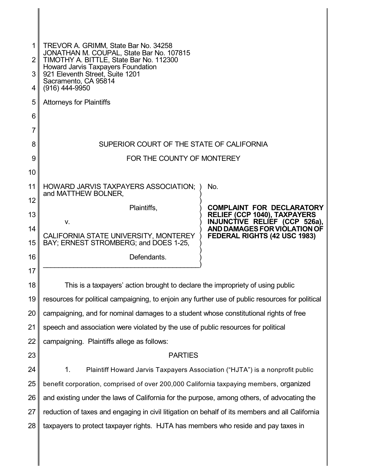| 2 <sub>1</sub>  | TREVOR A. GRIMM, State Bar No. 34258<br>JONATHAN M. COUPAL, State Bar No. 107815<br>TIMOTHY A. BITTLE, State Bar No. 112300 |                                                                                                          |  |
|-----------------|-----------------------------------------------------------------------------------------------------------------------------|----------------------------------------------------------------------------------------------------------|--|
| 3 <sup>1</sup>  | Howard Jarvis Taxpayers Foundation<br>921 Eleventh Street, Suite 1201                                                       |                                                                                                          |  |
| 4               | Sacramento, CA 95814<br>$(916)$ 444-9950                                                                                    |                                                                                                          |  |
| 5               | <b>Attorneys for Plaintiffs</b>                                                                                             |                                                                                                          |  |
| 6               |                                                                                                                             |                                                                                                          |  |
| 7               |                                                                                                                             |                                                                                                          |  |
| 8               | SUPERIOR COURT OF THE STATE OF CALIFORNIA                                                                                   |                                                                                                          |  |
| 9               | FOR THE COUNTY OF MONTEREY                                                                                                  |                                                                                                          |  |
| 10              |                                                                                                                             |                                                                                                          |  |
| 11              | HOWARD JARVIS TAXPAYERS ASSOCIATION;                                                                                        | No.                                                                                                      |  |
| 12              | and MATTHEW BOLNER,                                                                                                         |                                                                                                          |  |
| 13              | Plaintiffs,<br>V.                                                                                                           | <b>COMPLAINT FOR DECLARATORY</b><br><b>RELIEF (CCP 1040), TAXPAYERS</b><br>INJUNCTIVE RELIEF (CCP 526a), |  |
| 14              | CALIFORNIA STATE UNIVERSITY, MONTEREY                                                                                       | AND DAMAGES FOR VIOLATION OF<br>FEDERAL RIGHTS (42 USC 1983)                                             |  |
| 15              | BAY; ERNEST STROMBERG; and DOES 1-25,                                                                                       |                                                                                                          |  |
| 16              | Defendants.                                                                                                                 |                                                                                                          |  |
| 17 <sup>1</sup> |                                                                                                                             |                                                                                                          |  |
| 18              | This is a taxpayers' action brought to declare the impropriety of using public                                              |                                                                                                          |  |
| 19              | resources for political campaigning, to enjoin any further use of public resources for political                            |                                                                                                          |  |
| 20              | campaigning, and for nominal damages to a student whose constitutional rights of free                                       |                                                                                                          |  |
| 21              | speech and association were violated by the use of public resources for political                                           |                                                                                                          |  |
| 22              | campaigning. Plaintiffs allege as follows:                                                                                  |                                                                                                          |  |
| 23              | <b>PARTIES</b>                                                                                                              |                                                                                                          |  |
| 24              | 1.<br>Plaintiff Howard Jarvis Taxpayers Association ("HJTA") is a nonprofit public                                          |                                                                                                          |  |
| 25              | benefit corporation, comprised of over 200,000 California taxpaying members, organized                                      |                                                                                                          |  |
| 26              | and existing under the laws of California for the purpose, among others, of advocating the                                  |                                                                                                          |  |
| 27              | reduction of taxes and engaging in civil litigation on behalf of its members and all California                             |                                                                                                          |  |
|                 |                                                                                                                             |                                                                                                          |  |
| 28              | taxpayers to protect taxpayer rights. HJTA has members who reside and pay taxes in                                          |                                                                                                          |  |

 $\mathsf I$ 

Ш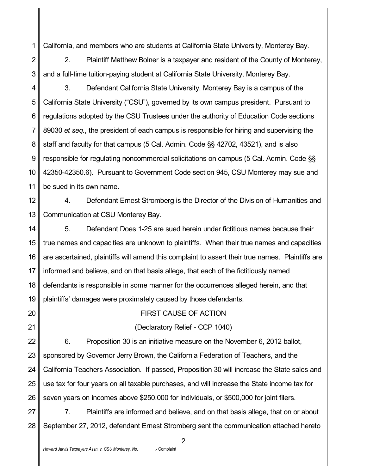1 California, and members who are students at California State University, Monterey Bay.

2 3 2. Plaintiff Matthew Bolner is a taxpayer and resident of the County of Monterey, and a full-time tuition-paying student at California State University, Monterey Bay.

4 5 6 7 8 9 10 11 3. Defendant California State University, Monterey Bay is a campus of the California State University ("CSU"), governed by its own campus president. Pursuant to regulations adopted by the CSU Trustees under the authority of Education Code sections 89030 *et seq.*, the president of each campus is responsible for hiring and supervising the staff and faculty for that campus (5 Cal. Admin. Code §§ 42702, 43521), and is also responsible for regulating noncommercial solicitations on campus (5 Cal. Admin. Code §§ 42350-42350.6). Pursuant to Government Code section 945, CSU Monterey may sue and be sued in its own name.

12 13 4. Defendant Ernest Stromberg is the Director of the Division of Humanities and Communication at CSU Monterey Bay.

14 15 16 17 18 19 5. Defendant Does 1-25 are sued herein under fictitious names because their true names and capacities are unknown to plaintiffs. When their true names and capacities are ascertained, plaintiffs will amend this complaint to assert their true names. Plaintiffs are informed and believe, and on that basis allege, that each of the fictitiously named defendants is responsible in some manner for the occurrences alleged herein, and that plaintiffs' damages were proximately caused by those defendants.

### FIRST CAUSE OF ACTION

(Declaratory Relief - CCP 1040)

22 23 24 25 26 6. Proposition 30 is an initiative measure on the November 6, 2012 ballot, sponsored by Governor Jerry Brown, the California Federation of Teachers, and the California Teachers Association. If passed, Proposition 30 will increase the State sales and use tax for four years on all taxable purchases, and will increase the State income tax for seven years on incomes above \$250,000 for individuals, or \$500,000 for joint filers.

27 28 7. Plaintiffs are informed and believe, and on that basis allege, that on or about September 27, 2012, defendant Ernest Stromberg sent the communication attached hereto

 $\mathfrak{p}$ 

20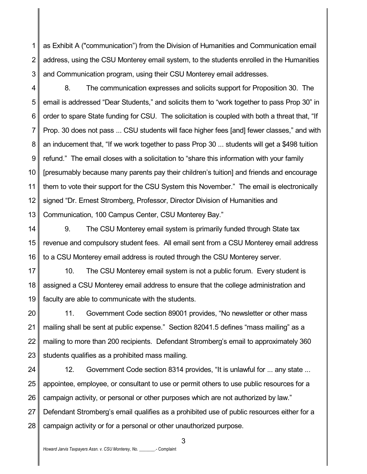1 2 3 as Exhibit A ("communication") from the Division of Humanities and Communication email address, using the CSU Monterey email system, to the students enrolled in the Humanities and Communication program, using their CSU Monterey email addresses.

4 5 6 7 8 9 10 11 12 13 8. The communication expresses and solicits support for Proposition 30. The email is addressed "Dear Students," and solicits them to "work together to pass Prop 30" in order to spare State funding for CSU. The solicitation is coupled with both a threat that, "If Prop. 30 does not pass ... CSU students will face higher fees [and] fewer classes," and with an inducement that, "If we work together to pass Prop 30 ... students will get a \$498 tuition refund." The email closes with a solicitation to "share this information with your family [presumably because many parents pay their children's tuition] and friends and encourage them to vote their support for the CSU System this November." The email is electronically signed "Dr. Ernest Stromberg, Professor, Director Division of Humanities and Communication, 100 Campus Center, CSU Monterey Bay."

14 15 16 9. The CSU Monterey email system is primarily funded through State tax revenue and compulsory student fees. All email sent from a CSU Monterey email address to a CSU Monterey email address is routed through the CSU Monterey server.

17 18 19 10. The CSU Monterey email system is not a public forum. Every student is assigned a CSU Monterey email address to ensure that the college administration and faculty are able to communicate with the students.

20 21 22 23 11. Government Code section 89001 provides, "No newsletter or other mass mailing shall be sent at public expense." Section 82041.5 defines "mass mailing" as a mailing to more than 200 recipients. Defendant Stromberg's email to approximately 360 students qualifies as a prohibited mass mailing.

24 25 26 27 28 12. Government Code section 8314 provides, "It is unlawful for ... any state ... appointee, employee, or consultant to use or permit others to use public resources for a campaign activity, or personal or other purposes which are not authorized by law." Defendant Stromberg's email qualifies as a prohibited use of public resources either for a campaign activity or for a personal or other unauthorized purpose.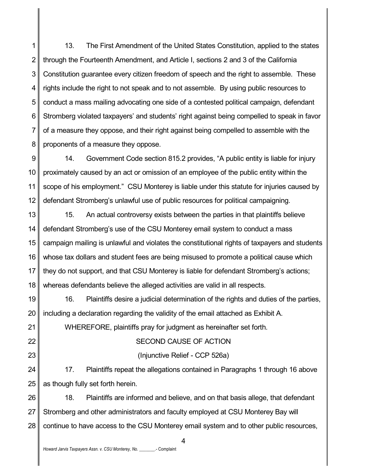1 2 3 4 5 6 7 8 13. The First Amendment of the United States Constitution, applied to the states through the Fourteenth Amendment, and Article I, sections 2 and 3 of the California Constitution guarantee every citizen freedom of speech and the right to assemble. These rights include the right to not speak and to not assemble. By using public resources to conduct a mass mailing advocating one side of a contested political campaign, defendant Stromberg violated taxpayers' and students' right against being compelled to speak in favor of a measure they oppose, and their right against being compelled to assemble with the proponents of a measure they oppose.

9 10 11 12 14. Government Code section 815.2 provides, "A public entity is liable for injury proximately caused by an act or omission of an employee of the public entity within the scope of his employment." CSU Monterey is liable under this statute for injuries caused by defendant Stromberg's unlawful use of public resources for political campaigning.

13 14 15 16 17 18 15. An actual controversy exists between the parties in that plaintiffs believe defendant Stromberg's use of the CSU Monterey email system to conduct a mass campaign mailing is unlawful and violates the constitutional rights of taxpayers and students whose tax dollars and student fees are being misused to promote a political cause which they do not support, and that CSU Monterey is liable for defendant Stromberg's actions; whereas defendants believe the alleged activities are valid in all respects.

16. Plaintiffs desire a judicial determination of the rights and duties of the parties, including a declaration regarding the validity of the email attached as Exhibit A.

WHEREFORE, plaintiffs pray for judgment as hereinafter set forth.

# SECOND CAUSE OF ACTION

# (Injunctive Relief - CCP 526a)

17. Plaintiffs repeat the allegations contained in Paragraphs 1 through 16 above as though fully set forth herein.

28 18. Plaintiffs are informed and believe, and on that basis allege, that defendant Stromberg and other administrators and faculty employed at CSU Monterey Bay will continue to have access to the CSU Monterey email system and to other public resources,

19

20

21

22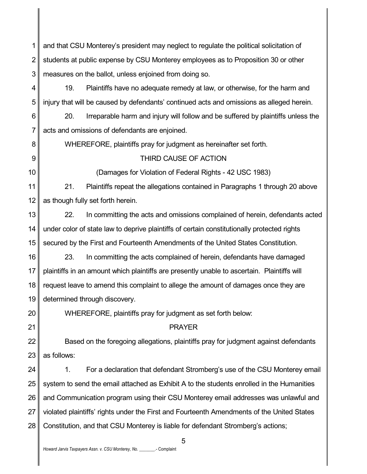1 2 3 and that CSU Monterey's president may neglect to regulate the political solicitation of students at public expense by CSU Monterey employees as to Proposition 30 or other measures on the ballot, unless enjoined from doing so.

4 5 19. Plaintiffs have no adequate remedy at law, or otherwise, for the harm and injury that will be caused by defendants' continued acts and omissions as alleged herein.

6 7 20. Irreparable harm and injury will follow and be suffered by plaintiffs unless the acts and omissions of defendants are enjoined.

WHEREFORE, plaintiffs pray for judgment as hereinafter set forth.

8

9

10

20

21

## THIRD CAUSE OF ACTION

(Damages for Violation of Federal Rights - 42 USC 1983)

11 12 21. Plaintiffs repeat the allegations contained in Paragraphs 1 through 20 above as though fully set forth herein.

13 14 15 22. In committing the acts and omissions complained of herein, defendants acted under color of state law to deprive plaintiffs of certain constitutionally protected rights secured by the First and Fourteenth Amendments of the United States Constitution.

16 17 18 19 23. In committing the acts complained of herein, defendants have damaged plaintiffs in an amount which plaintiffs are presently unable to ascertain. Plaintiffs will request leave to amend this complaint to allege the amount of damages once they are determined through discovery.

WHEREFORE, plaintiffs pray for judgment as set forth below:

## PRAYER

22 23 Based on the foregoing allegations, plaintiffs pray for judgment against defendants as follows:

24 25 26 27 28 1. For a declaration that defendant Stromberg's use of the CSU Monterey email system to send the email attached as Exhibit A to the students enrolled in the Humanities and Communication program using their CSU Monterey email addresses was unlawful and violated plaintiffs' rights under the First and Fourteenth Amendments of the United States Constitution, and that CSU Monterey is liable for defendant Stromberg's actions;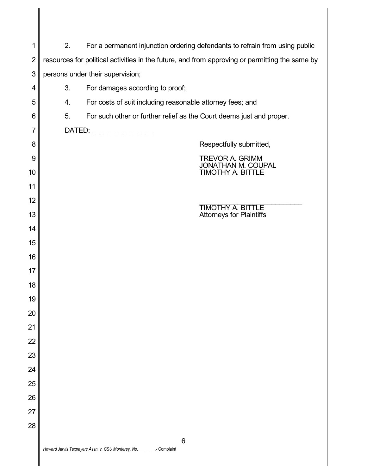| 1              | 2.<br>For a permanent injunction ordering defendants to refrain from using public              |                                                                                 |
|----------------|------------------------------------------------------------------------------------------------|---------------------------------------------------------------------------------|
| $\overline{2}$ | resources for political activities in the future, and from approving or permitting the same by |                                                                                 |
| 3              |                                                                                                | persons under their supervision;                                                |
| 4              | 3.                                                                                             | For damages according to proof;                                                 |
| 5              | 4.                                                                                             | For costs of suit including reasonable attorney fees; and                       |
| 6              | 5.                                                                                             | For such other or further relief as the Court deems just and proper.            |
| 7              |                                                                                                |                                                                                 |
| 8              |                                                                                                | Respectfully submitted,                                                         |
| 9<br>10        |                                                                                                | <b>TREVOR A. GRIMM</b><br><b>JONATHAN M. COUPAL</b><br><b>TIMOTHY A. BITTLE</b> |
| 11             |                                                                                                |                                                                                 |
| 12             |                                                                                                |                                                                                 |
| 13             |                                                                                                | <b>TIMOTHY A. BITTLE</b><br><b>Attorneys for Plaintiffs</b>                     |
| 14             |                                                                                                |                                                                                 |
| 15             |                                                                                                |                                                                                 |
| 16             |                                                                                                |                                                                                 |
| 17             |                                                                                                |                                                                                 |
| 18             |                                                                                                |                                                                                 |
| 19             |                                                                                                |                                                                                 |
| 20             |                                                                                                |                                                                                 |
| 21             |                                                                                                |                                                                                 |
| 22             |                                                                                                |                                                                                 |
| 23             |                                                                                                |                                                                                 |
| 24             |                                                                                                |                                                                                 |
| 25             |                                                                                                |                                                                                 |
| 26             |                                                                                                |                                                                                 |
| 27             |                                                                                                |                                                                                 |
| 28             |                                                                                                |                                                                                 |
|                |                                                                                                | 6<br>Howard Jarvis Taxpayers Assn. v. CSU Monterey, No. ________.- Complaint    |